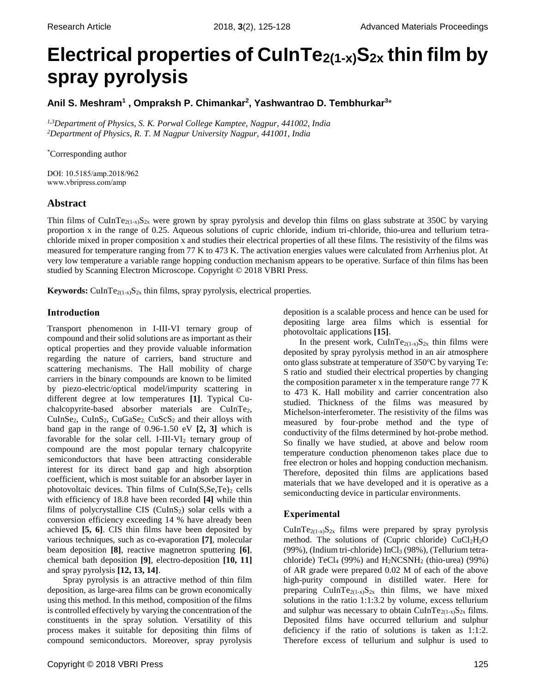# **Electrical properties of CuInTe2(1-x)S2x thin film by spray pyrolysis**

**Anil S. Meshram<sup>1</sup> , Ompraksh P. Chimankar<sup>2</sup> , Yashwantrao D. Tembhurkar<sup>3</sup>** \*

*1,3Department of Physics, S. K. Porwal College Kamptee, Nagpur, 441002, India <sup>2</sup>Department of Physics, R. T. M Nagpur University Nagpur, 441001, India*

\*Corresponding author

DOI: 10.5185/amp.2018/962 www.vbripress.com/amp

## **Abstract**

Thin films of CuInTe<sub>2(1-x)</sub>S<sub>2x</sub> were grown by spray pyrolysis and develop thin films on glass substrate at 350C by varying proportion x in the range of 0.25. Aqueous solutions of cupric chloride, indium tri-chloride, thio-urea and tellurium tetrachloride mixed in proper composition x and studies their electrical properties of all these films. The resistivity of the films was measured for temperature ranging from 77 K to 473 K. The activation energies values were calculated from Arrhenius plot. At very low temperature a variable range hopping conduction mechanism appears to be operative. Surface of thin films has been studied by Scanning Electron Microscope. Copyright © 2018 VBRI Press.

**Keywords:** CuInTe<sub>2(1-x)</sub> $S_{2x}$  thin films, spray pyrolysis, electrical properties.

## **Introduction**

Transport phenomenon in I-III-VI ternary group of compound and their solid solutions are as important as their optical properties and they provide valuable information regarding the nature of carriers, band structure and scattering mechanisms. The Hall mobility of charge carriers in the binary compounds are known to be limited by piezo-electric/optical model/impurity scattering in different degree at low temperatures **[1]**. Typical Cuchalcopyrite-based absorber materials are CuInTe2, CuInSe<sub>2</sub>, CuInS<sub>2</sub>, CuGaSe<sub>2</sub>, CuScS<sub>2</sub> and their alloys with band gap in the range of 0.96-1.50 eV **[2, 3]** which is favorable for the solar cell. I-III-VI<sub>2</sub> ternary group of compound are the most popular ternary chalcopyrite semiconductors that have been attracting considerable interest for its direct band gap and high absorption coefficient, which is most suitable for an absorber layer in photovoltaic devices. Thin films of  $CuIn(S,Se,Te)_2$  cells with efficiency of 18.8 have been recorded **[4]** while thin films of polycrystalline CIS ( $CulnS<sub>2</sub>$ ) solar cells with a conversion efficiency exceeding 14 % have already been achieved **[5, 6]**. CIS thin films have been deposited by various techniques, such as co-evaporation **[7]**, molecular beam deposition **[8]**, reactive magnetron sputtering **[6]**, chemical bath deposition **[9]**, electro-deposition **[10, 11]** and spray pyrolysis **[12, 13, 14]**.

Spray pyrolysis is an attractive method of thin film deposition, as large-area films can be grown economically using this method. In this method, composition of the films is controlled effectively by varying the concentration of the constituents in the spray solution. Versatility of this process makes it suitable for depositing thin films of compound semiconductors. Moreover, spray pyrolysis

deposition is a scalable process and hence can be used for depositing large area films which is essential for photovoltaic applications **[15]**.

In the present work, CuInTe<sub>2(1-x)</sub>S<sub>2x</sub> thin films were deposited by spray pyrolysis method in an air atmosphere onto glass substrate at temperature of  $350^{\circ}$ C by varying Te: S ratio and studied their electrical properties by changing the composition parameter x in the temperature range 77 K to 473 K. Hall mobility and carrier concentration also studied. Thickness of the films was measured by Michelson-interferometer. The resistivity of the films was measured by four-probe method and the type of conductivity of the films determined by hot-probe method. So finally we have studied, at above and below room temperature conduction phenomenon takes place due to free electron or holes and hopping conduction mechanism. Therefore, deposited thin films are applications based materials that we have developed and it is operative as a semiconducting device in particular environments.

## **Experimental**

CuInTe<sub>2(1-x)</sub>S<sub>2x</sub> films were prepared by spray pyrolysis method. The solutions of (Cupric chloride)  $CuCl<sub>2</sub>H<sub>2</sub>O$ (99%), (Indium tri-chloride) InCl<sub>3</sub> (98%), (Tellurium tetrachloride) TeCl<sub>4</sub> (99%) and  $H_2NCSNH_2$  (thio-urea) (99%) of AR grade were prepared 0.02 M of each of the above high-purity compound in distilled water. Here for preparing CuInTe<sub>2(1-x)</sub>S<sub>2x</sub> thin films, we have mixed solutions in the ratio 1:1:3.2 by volume, excess tellurium and sulphur was necessary to obtain CuInTe<sub>2(1-x)</sub>S<sub>2x</sub> films. Deposited films have occurred tellurium and sulphur deficiency if the ratio of solutions is taken as 1:1:2. Therefore excess of tellurium and sulphur is used to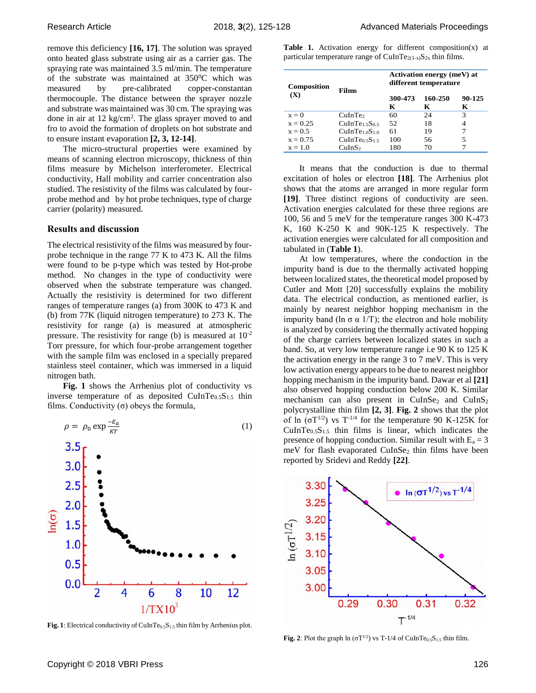remove this deficiency **[16, 17]**. The solution was sprayed onto heated glass substrate using air as a carrier gas. The spraying rate was maintained 3.5 ml/min. The temperature of the substrate was maintained at  $350^{\circ}$ C which was measured by pre-calibrated copper-constantan thermocouple. The distance between the sprayer nozzle and substrate was maintained was 30 cm. The spraying was done in air at 12 kg/cm<sup>2</sup>. The glass sprayer moved to and fro to avoid the formation of droplets on hot substrate and to ensure instant evaporation **[2, 3, 12-14]**.

The micro-structural properties were examined by means of scanning electron microscopy, thickness of thin films measure by Michelson interferometer. Electrical conductivity, Hall mobility and carrier concentration also studied. The resistivity of the films was calculated by fourprobe method and by hot probe techniques, type of charge carrier (polarity) measured.

### **Results and discussion**

The electrical resistivity of the films was measured by fourprobe technique in the range 77 K to 473 K. All the films were found to be p-type which was tested by Hot-probe method. No changes in the type of conductivity were observed when the substrate temperature was changed. Actually the resistivity is determined for two different ranges of temperature ranges (a) from 300K to 473 K and (b) from 77K (liquid nitrogen temperature) to 273 K. The resistivity for range (a) is measured at atmospheric pressure. The resistivity for range (b) is measured at 10-2 Torr pressure, for which four-probe arrangement together with the sample film was enclosed in a specially prepared stainless steel container, which was immersed in a liquid nitrogen bath.

Fig. 1 shows the Arrhenius plot of conductivity vs inverse temperature of as deposited CuInTe $_{0.5}S_{1.5}$  thin films. Conductivity  $(\sigma)$  obeys the formula,



Fig. 1: Electrical conductivity of CuInTe<sub>0.5</sub>S<sub>1.5</sub> thin film by Arrhenius plot.

**Table 1.** Activation energy for different composition(x) at particular temperature range of CuInTe<sub>2(1-x)</sub>S<sub>2x</sub> thin films.

| <b>Composition</b><br>(X) | <b>Films</b>                           | Activation energy (meV) at<br>different temperature |              |             |
|---------------------------|----------------------------------------|-----------------------------------------------------|--------------|-------------|
|                           |                                        | 300-473<br>K                                        | 160-250<br>К | 90-125<br>К |
| $x = 0$                   | CuInTe <sub>2</sub>                    | 60                                                  | 24           | 3           |
| $x = 0.25$                | CuInTe <sub>1.5</sub> S <sub>0.5</sub> | 52                                                  | 18           |             |
| $x = 0.5$                 | CuInTe1.0S1.0                          | 61                                                  | 19           |             |
| $x = 0.75$                | CuInTe <sub>0.5</sub> S <sub>1.5</sub> | 100                                                 | 56           | 5           |
| $x = 1.0$                 | CuInS <sub>2</sub>                     | 180                                                 | 70           |             |

It means that the conduction is due to thermal excitation of holes or electron **[18]**. The Arrhenius plot shows that the atoms are arranged in more regular form **[19]**. Three distinct regions of conductivity are seen. Activation energies calculated for these three regions are 100, 56 and 5 meV for the temperature ranges 300 K-473 K, 160 K-250 K and 90K-125 K respectively. The activation energies were calculated for all composition and tabulated in (**Table 1**).

At low temperatures, where the conduction in the impurity band is due to the thermally activated hopping between localized states, the theoretical model proposed by Cutler and Mott [20] successfully explains the mobility data. The electrical conduction, as mentioned earlier, is mainly by nearest neighbor hopping mechanism in the impurity band (ln  $\sigma \alpha$  1/T); the electron and hole mobility is analyzed by considering the thermally activated hopping of the charge carriers between localized states in such a band. So, at very low temperature range i.e 90 K to 125 K the activation energy in the range 3 to 7 meV. This is very low activation energy appears to be due to nearest neighbor hopping mechanism in the impurity band. Dawar et al **[21]** also observed hopping conduction below 200 K. Similar mechanism can also present in  $CuInSe<sub>2</sub>$  and  $CuInS<sub>2</sub>$ polycrystalline thin film **[2, 3]**. **Fig. 2** shows that the plot of ln  $(σT<sup>1/2</sup>)$  vs T<sup>-1/4</sup> for the temperature 90 K-125K for  $CuInTe<sub>0.5</sub>S<sub>1.5</sub>$  thin films is linear, which indicates the presence of hopping conduction. Similar result with  $E_a = 3$ meV for flash evaporated CuInSe<sub>2</sub> thin films have been reported by Sridevi and Reddy **[22]**.



**Fig. 2**: Plot the graph  $\ln (\sigma T^{1/2})$  vs T-1/4 of CuInTe<sub>0.5</sub>S<sub>1.5</sub> thin film.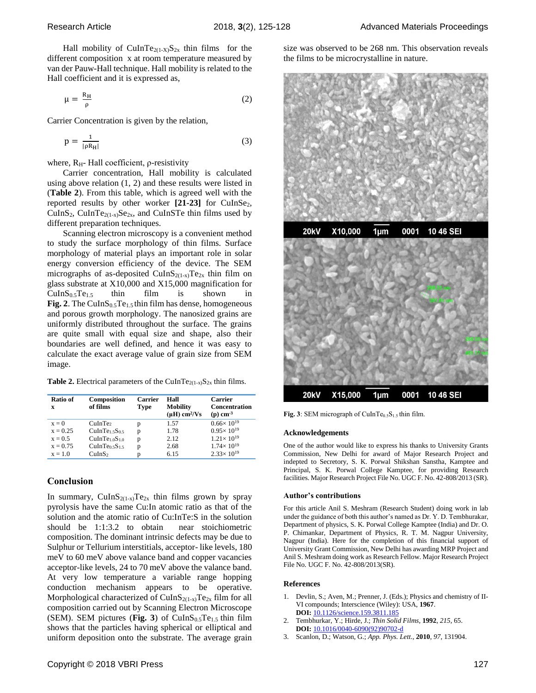Hall mobility of CuInTe<sub>2(1-X)</sub>S<sub>2x</sub> thin films for the different composition x at room temperature measured by van der Pauw-Hall technique. Hall mobility is related to the Hall coefficient and it is expressed as,

$$
\mu = \frac{R_H}{\rho} \tag{2}
$$

Carrier Concentration is given by the relation,

$$
p = \frac{1}{|\rho R_H|} \tag{3}
$$

where,  $R<sub>H</sub>$ - Hall coefficient,  $\rho$ -resistivity

Carrier concentration, Hall mobility is calculated using above relation (1, 2) and these results were listed in (**Table 2**). From this table, which is agreed well with the reported results by other worker [21-23] for CuInSe<sub>2</sub>, CuInS<sub>2</sub>, CuInTe<sub>2(1-x)</sub>Se<sub>2x</sub>, and CuInSTe thin films used by different preparation techniques.

Scanning electron microscopy is a convenient method to study the surface morphology of thin films. Surface morphology of material plays an important role in solar energy conversion efficiency of the device. The SEM micrographs of as-deposited CuInS<sub>2(1-x)</sub>Te<sub>2x</sub> thin film on glass substrate at X10,000 and X15,000 magnification for  $CuInS<sub>0.5</sub>Te<sub>1.5</sub>$  thin film is shown in **Fig. 2**. The CuIn $S_{0.5}Te_{1.5}$  thin film has dense, homogeneous and porous growth morphology. The nanosized grains are uniformly distributed throughout the surface. The grains are quite small with equal size and shape, also their boundaries are well defined, and hence it was easy to calculate the exact average value of grain size from SEM image.

**Table 2.** Electrical parameters of the CuInTe<sub>2(1-x)</sub>S<sub>2x</sub> thin films.

| Ratio of<br>x | Composition<br>of films                | <b>Carrier</b><br><b>Type</b> | Hall<br><b>Mobility</b><br>$(\mu H)$ cm <sup>2</sup> /Vs | Carrier<br><b>Concentration</b><br>$(p)$ cm <sup>-3</sup> |
|---------------|----------------------------------------|-------------------------------|----------------------------------------------------------|-----------------------------------------------------------|
| $x = 0$       | CuInTe <sub>2</sub>                    | p                             | 1.57                                                     | $0.66 \times 10^{19}$                                     |
| $x = 0.25$    | CulnTe1.5S0.5                          | p                             | 1.78                                                     | $0.95 \times 10^{19}$                                     |
| $x = 0.5$     | CulnTe1.0S1.0                          | p                             | 2.12                                                     | $1.21 \times 10^{19}$                                     |
| $x = 0.75$    | CuInTe <sub>0.5</sub> S <sub>1.5</sub> | p                             | 2.68                                                     | $1.74 \times 10^{19}$                                     |
| $x = 1.0$     | CuInS <sub>2</sub>                     | D                             | 6.15                                                     | $2.33 \times 10^{19}$                                     |

## **Conclusion**

In summary,  $CuInS<sub>2(1-x)</sub>Te<sub>2x</sub>$  thin films grown by spray pyrolysis have the same Cu:In atomic ratio as that of the solution and the atomic ratio of Cu:InTe:S in the solution should be 1:1:3.2 to obtain near stoichiometric composition. The dominant intrinsic defects may be due to Sulphur or Tellurium interstitials, acceptor- like levels, 180 meV to 60 meV above valance band and copper vacancies acceptor-like levels, 24 to 70 meV above the valance band. At very low temperature a variable range hopping conduction mechanism appears to be operative. Morphological characterized of CuIn $S_{2(1-x)}Te_{2x}$  film for all composition carried out by Scanning Electron Microscope (SEM). SEM pictures (**Fig. 3**) of CuIn $S_{0.5}Te_{1.5}$  thin film shows that the particles having spherical or elliptical and uniform deposition onto the substrate. The average grain size was observed to be 268 nm. This observation reveals the films to be microcrystalline in nature.



Fig. 3: SEM micrograph of  $CuInTe<sub>0.5</sub>S<sub>1.5</sub>$  thin film.

#### **Acknowledgements**

One of the author would like to express his thanks to University Grants Commission, New Delhi for award of Major Research Project and indepted to Secretory, S. K. Porwal Shikshan Sanstha, Kamptee and Principal, S. K. Porwal College Kamptee, for providing Research facilities. Major Research Project File No. UGC F. No. 42-808/2013 (SR).

#### **Author's contributions**

For this article Anil S. Meshram (Research Student) doing work in lab under the guidance of both this author's named as Dr. Y. D. Tembhurakar, Department of physics, S. K. Porwal College Kamptee (India) and Dr. O. P. Chimankar, Department of Physics, R. T. M. Nagpur University, Nagpur (India). Here for the completion of this financial support of University Grant Commission, New Delhi has awarding MRP Project and Anil S. Meshram doing work as Research Fellow. Major Research Project File No. UGC F. No. 42-808/2013(SR).

#### **References**

- 1. Devlin, S.; Aven, M.; Prenner, J. (Eds.); Physics and chemistry of II-VI compounds; Interscience (Wiley): USA, **1967**. **DOI:** 10.1126/science.159.3811.185
- 2. Tembhurkar, Y.; Hirde, J.; *Thin Solid Films*, **1992**, *215*, 65. **DOI:** [10.1016/0040-6090\(92\)90702-d](https://dx.doi.org/10.1016/0040-6090(92)90702-d)
- 3. Scanlon, D.; Watson, G.; *App. Phys. Lett*., **2010**, *97*, 131904.